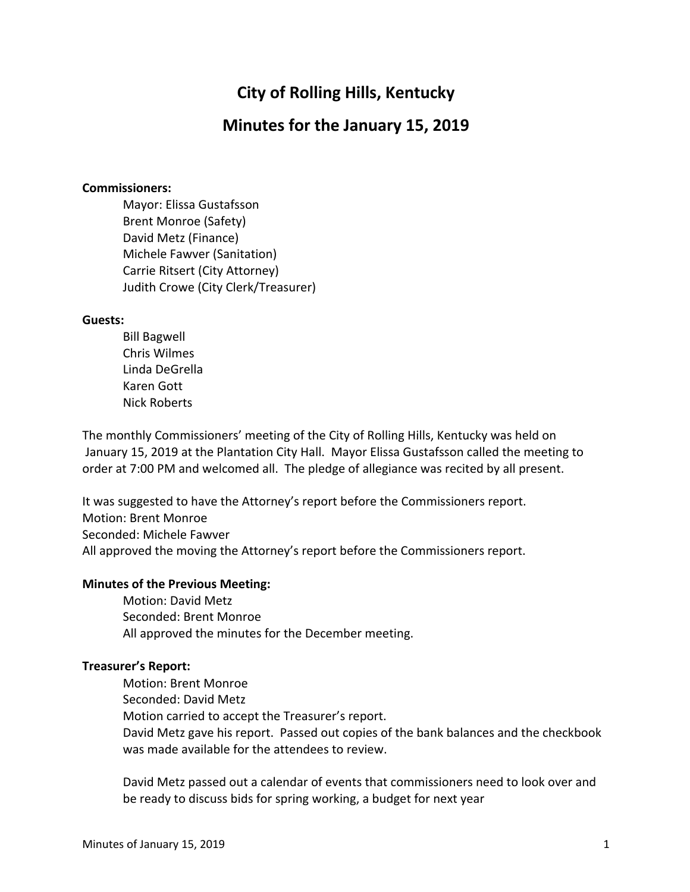# **City of Rolling Hills, Kentucky**

## **Minutes for the January 15, 2019**

#### **Commissioners:**

Mayor: Elissa Gustafsson Brent Monroe (Safety) David Metz (Finance) Michele Fawver (Sanitation) Carrie Ritsert (City Attorney) Judith Crowe (City Clerk/Treasurer)

#### **Guests:**

Bill Bagwell Chris Wilmes Linda DeGrella Karen Gott Nick Roberts

The monthly Commissioners' meeting of the City of Rolling Hills, Kentucky was held on January 15, 2019 at the Plantation City Hall. Mayor Elissa Gustafsson called the meeting to order at 7:00 PM and welcomed all. The pledge of allegiance was recited by all present.

It was suggested to have the Attorney's report before the Commissioners report. Motion: Brent Monroe Seconded: Michele Fawver All approved the moving the Attorney's report before the Commissioners report.

#### **Minutes of the Previous Meeting:**

Motion: David Metz Seconded: Brent Monroe All approved the minutes for the December meeting.

#### **Treasurer's Report:**

Motion: Brent Monroe Seconded: David Metz Motion carried to accept the Treasurer's report. David Metz gave his report. Passed out copies of the bank balances and the checkbook was made available for the attendees to review.

David Metz passed out a calendar of events that commissioners need to look over and be ready to discuss bids for spring working, a budget for next year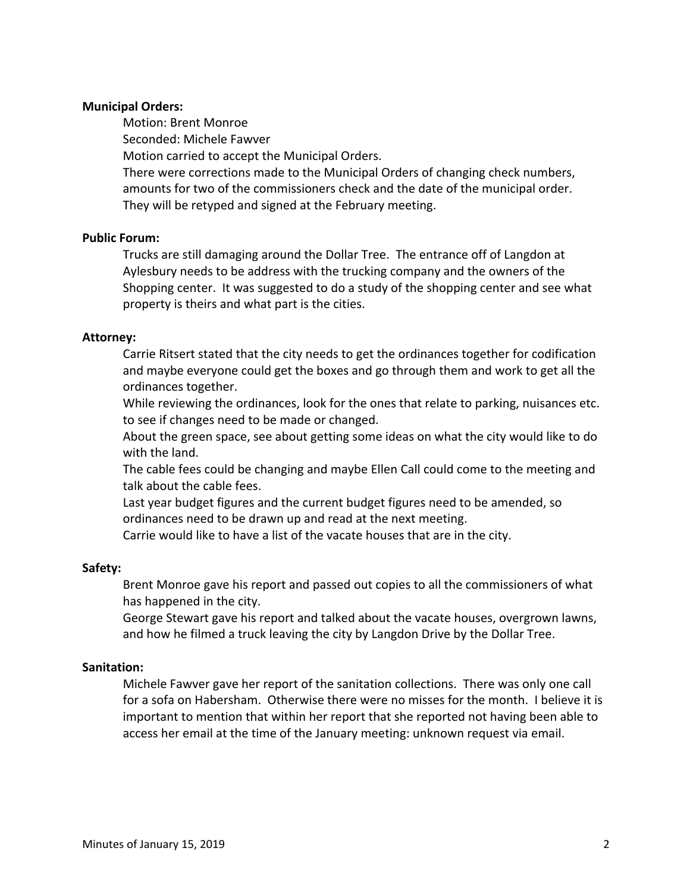### **Municipal Orders:**

Motion: Brent Monroe Seconded: Michele Fawver Motion carried to accept the Municipal Orders. There were corrections made to the Municipal Orders of changing check numbers, amounts for two of the commissioners check and the date of the municipal order. They will be retyped and signed at the February meeting.

#### **Public Forum:**

Trucks are still damaging around the Dollar Tree. The entrance off of Langdon at Aylesbury needs to be address with the trucking company and the owners of the Shopping center. It was suggested to do a study of the shopping center and see what property is theirs and what part is the cities.

#### **Attorney:**

Carrie Ritsert stated that the city needs to get the ordinances together for codification and maybe everyone could get the boxes and go through them and work to get all the ordinances together.

While reviewing the ordinances, look for the ones that relate to parking, nuisances etc. to see if changes need to be made or changed.

About the green space, see about getting some ideas on what the city would like to do with the land.

The cable fees could be changing and maybe Ellen Call could come to the meeting and talk about the cable fees.

Last year budget figures and the current budget figures need to be amended, so ordinances need to be drawn up and read at the next meeting.

Carrie would like to have a list of the vacate houses that are in the city.

#### **Safety:**

Brent Monroe gave his report and passed out copies to all the commissioners of what has happened in the city.

George Stewart gave his report and talked about the vacate houses, overgrown lawns, and how he filmed a truck leaving the city by Langdon Drive by the Dollar Tree.

#### **Sanitation:**

Michele Fawver gave her report of the sanitation collections. There was only one call for a sofa on Habersham. Otherwise there were no misses for the month. I believe it is important to mention that within her report that she reported not having been able to access her email at the time of the January meeting: unknown request via email.